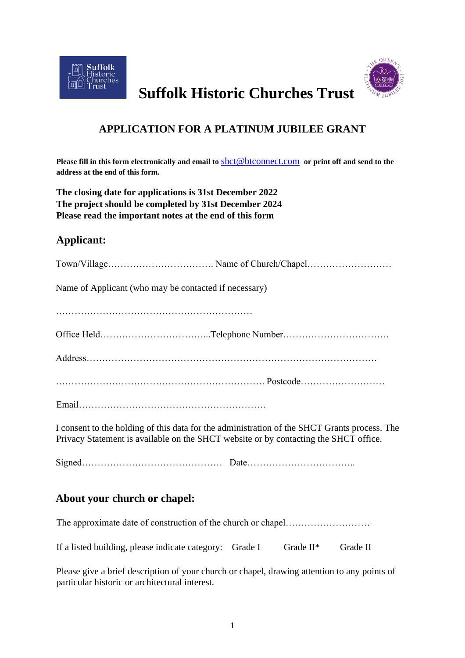



# **Suffolk Historic Churches Trust**

# **APPLICATION FOR A PLATINUM JUBILEE GRANT**

**Please fill in this form electronically and email to** shct@btconnect.com **or print off and send to the address at the end of this form.**

**The closing date for applications is 31st December 2022 The project should be completed by 31st December 2024 Please read the important notes at the end of this form**

## **Applicant:**

| Name of Applicant (who may be contacted if necessary) |                                                                                              |  |
|-------------------------------------------------------|----------------------------------------------------------------------------------------------|--|
|                                                       |                                                                                              |  |
|                                                       |                                                                                              |  |
|                                                       |                                                                                              |  |
|                                                       |                                                                                              |  |
|                                                       |                                                                                              |  |
|                                                       | I consent to the holding of this data for the administration of the SHCT Grants process. The |  |

I consent to the holding of this data for the administration of the SHCT Grants process. The Privacy Statement is available on the SHCT website or by contacting the SHCT office.

Signed……………………………………… Date……………………………..

### **About your church or chapel:**

The approximate date of construction of the church or chapel………………………………………………………

If a listed building, please indicate category: Grade I Grade II\* Grade II

Please give a brief description of your church or chapel, drawing attention to any points of particular historic or architectural interest.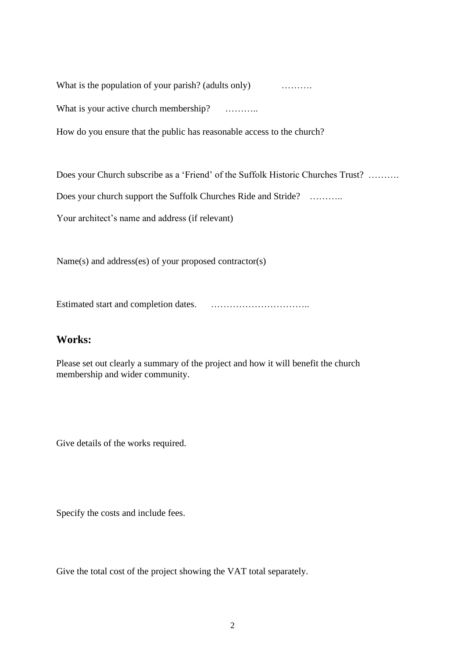What is the population of your parish? (adults only) ………..

What is your active church membership? ………..

How do you ensure that the public has reasonable access to the church?

Does your Church subscribe as a 'Friend' of the Suffolk Historic Churches Trust? ……….

Does your church support the Suffolk Churches Ride and Stride? ………..

Your architect's name and address (if relevant)

Name(s) and address(es) of your proposed contractor(s)

Estimated start and completion dates. …………………………..

#### **Works:**

Please set out clearly a summary of the project and how it will benefit the church membership and wider community.

Give details of the works required.

Specify the costs and include fees.

Give the total cost of the project showing the VAT total separately.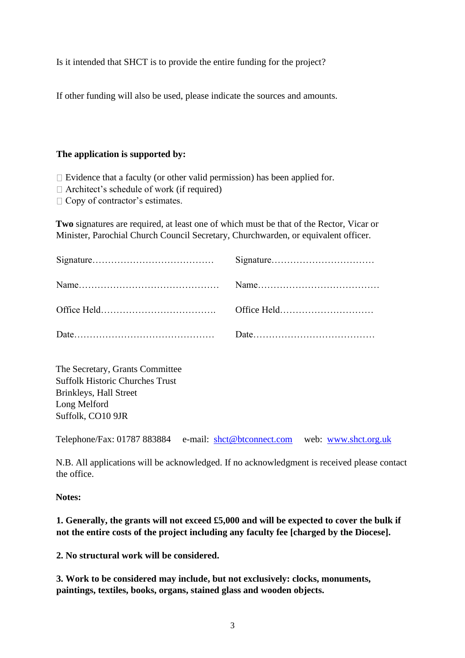Is it intended that SHCT is to provide the entire funding for the project?

If other funding will also be used, please indicate the sources and amounts.

#### **The application is supported by:**

 $\Box$  Evidence that a faculty (or other valid permission) has been applied for.

 $\Box$  Architect's schedule of work (if required)

 $\Box$  Copy of contractor's estimates.

**Two** signatures are required, at least one of which must be that of the Rector, Vicar or Minister, Parochial Church Council Secretary, Churchwarden, or equivalent officer.

The Secretary, Grants Committee Suffolk Historic Churches Trust Brinkleys, Hall Street Long Melford Suffolk, CO10 9JR

Telephone/Fax: 01787 883884 e-mail: shct@btconnect.com web: [www.shct.org.uk](http://www.shct.org.ukj/)

N.B. All applications will be acknowledged. If no acknowledgment is received please contact the office.

**Notes:**

**1. Generally, the grants will not exceed £5,000 and will be expected to cover the bulk if not the entire costs of the project including any faculty fee [charged by the Diocese].**

**2. No structural work will be considered.**

**3. Work to be considered may include, but not exclusively: clocks, monuments, paintings, textiles, books, organs, stained glass and wooden objects.**